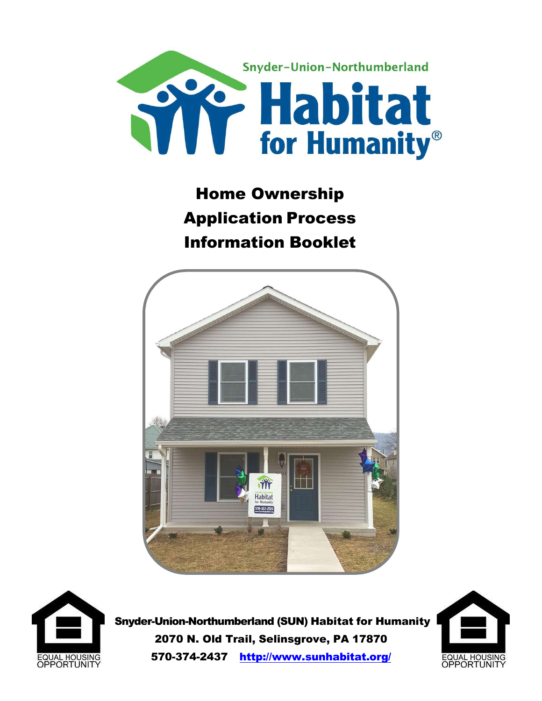

# Home Ownership Application Process Information Booklet





 Snyder-Union-Northumberland (SUN) Habitat for Humanity 2070 N. Old Trail, Selinsgrove, PA 17870 570-374-2437 http://www.sunhabitat.org/

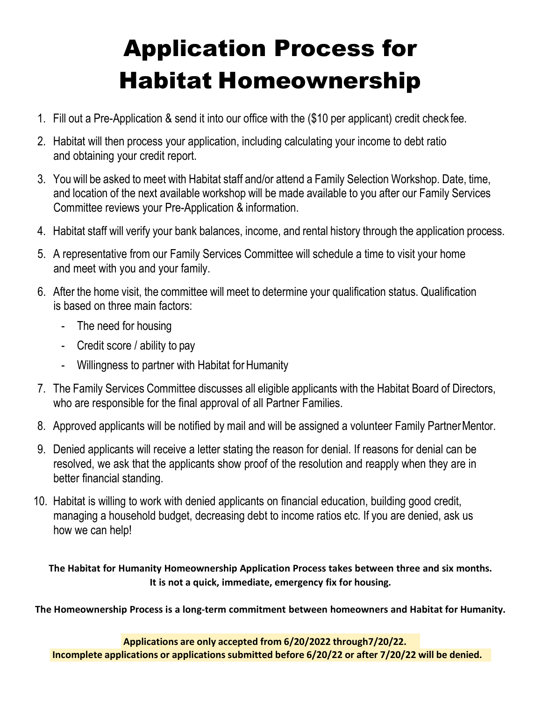# Application Process for Habitat Homeownership

- 1. Fill out a Pre-Application & send it into our office with the (\$10 per applicant) credit check fee.
- 2. Habitat will then process your application, including calculating your income to debt ratio and obtaining your credit report.
- 3. You will be asked to meet with Habitat staff and/or attend a Family Selection Workshop. Date, time, and location of the next available workshop will be made available to you after our Family Services Committee reviews your Pre-Application & information.
- 4. Habitat staff will verify your bank balances, income, and rental history through the application process.
- 5. A representative from our Family Services Committee will schedule a time to visit your home and meet with you and your family.
- 6. After the home visit, the committee will meet to determine your qualification status. Qualification is based on three main factors:
	- The need for housing
	- Credit score / ability to pay
	- Willingness to partner with Habitat for Humanity
- 7. The Family Services Committee discusses all eligible applicants with the Habitat Board of Directors, who are responsible for the final approval of all Partner Families.
- 8. Approved applicants will be notified by mail and will be assigned a volunteer Family Partner Mentor.
- 9. Denied applicants will receive a letter stating the reason for denial. If reasons for denial can be resolved, we ask that the applicants show proof of the resolution and reapply when they are in better financial standing.
- 10. Habitat is willing to work with denied applicants on financial education, building good credit, managing a household budget, decreasing debt to income ratios etc. If you are denied, ask us how we can help!

The Habitat for Humanity Homeownership Application Process takes between three and six months. It is not a quick, immediate, emergency fix for housing.

The Homeownership Process is a long-term commitment between homeowners and Habitat for Humanity.

Incomplete applications or applications submitted before 6/20/22 or after 7/20/22 will be denied. Applications are only accepted from 6/20/2022 through7/20/22.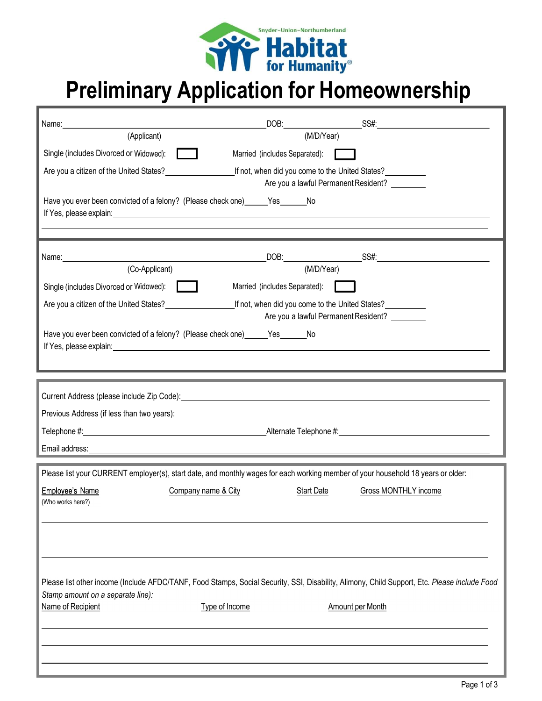

# Preliminary Application for Homeownership

| (Applicant)                                                             | (M/D/Year)                                                                                                                                                                                                                                                                                                          |
|-------------------------------------------------------------------------|---------------------------------------------------------------------------------------------------------------------------------------------------------------------------------------------------------------------------------------------------------------------------------------------------------------------|
| Single (includes Divorced or Widowed):                                  | Married (includes Separated):                                                                                                                                                                                                                                                                                       |
| Are you a citizen of the United States?<br><u>Letter and the states</u> | If not, when did you come to the United States?                                                                                                                                                                                                                                                                     |
|                                                                         | Are you a lawful Permanent Resident?                                                                                                                                                                                                                                                                                |
|                                                                         | Have you ever been convicted of a felony? (Please check one) ______Yes_______No                                                                                                                                                                                                                                     |
|                                                                         | If Yes, please explain: <u>Andrease and the second of the second of the second of the second of the second of the second of the second of the second of the second of the second of the second of the second of the second of th</u>                                                                                |
|                                                                         |                                                                                                                                                                                                                                                                                                                     |
|                                                                         |                                                                                                                                                                                                                                                                                                                     |
| (Co-Applicant)                                                          | (M/D/Year)                                                                                                                                                                                                                                                                                                          |
| Single (includes Divorced or Widowed):                                  | Married (includes Separated):                                                                                                                                                                                                                                                                                       |
|                                                                         | If not, when did you come to the United States?<br>Are you a lawful Permanent Resident?                                                                                                                                                                                                                             |
|                                                                         | Have you ever been convicted of a felony? (Please check one) ______ Yes ______ No<br>If Yes, please explain: example and a set of the set of the set of the set of the set of the set of the set of the set of the set of the set of the set of the set of the set of the set of the set of the set of the set of t |
|                                                                         |                                                                                                                                                                                                                                                                                                                     |
|                                                                         |                                                                                                                                                                                                                                                                                                                     |
|                                                                         |                                                                                                                                                                                                                                                                                                                     |
|                                                                         |                                                                                                                                                                                                                                                                                                                     |
|                                                                         |                                                                                                                                                                                                                                                                                                                     |
| Email address:                                                          | <u> 1989 - Johann Barn, amerikansk politiker (d. 1989)</u>                                                                                                                                                                                                                                                          |
|                                                                         |                                                                                                                                                                                                                                                                                                                     |
|                                                                         | Please list your CURRENT employer(s), start date, and monthly wages for each working member of your household 18 years or older:                                                                                                                                                                                    |
| <b>Employee's Name</b><br>(Who works here?)                             | Company name & City<br>Start Date<br>Gross MONTHLY income                                                                                                                                                                                                                                                           |
|                                                                         |                                                                                                                                                                                                                                                                                                                     |
|                                                                         |                                                                                                                                                                                                                                                                                                                     |
|                                                                         |                                                                                                                                                                                                                                                                                                                     |
|                                                                         |                                                                                                                                                                                                                                                                                                                     |
|                                                                         | Please list other income (Include AFDC/TANF, Food Stamps, Social Security, SSI, Disability, Alimony, Child Support, Etc. Please include Food                                                                                                                                                                        |
| Stamp amount on a separate line):<br>Name of Recipient                  | Type of Income<br>Amount per Month                                                                                                                                                                                                                                                                                  |
|                                                                         |                                                                                                                                                                                                                                                                                                                     |
|                                                                         |                                                                                                                                                                                                                                                                                                                     |
|                                                                         |                                                                                                                                                                                                                                                                                                                     |
|                                                                         |                                                                                                                                                                                                                                                                                                                     |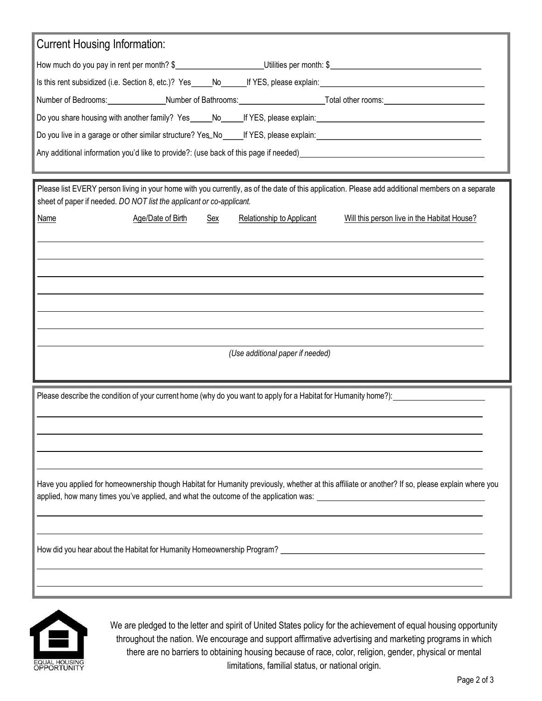| <b>Current Housing Information:</b>                                                                                                                                                                                            |  |
|--------------------------------------------------------------------------------------------------------------------------------------------------------------------------------------------------------------------------------|--|
|                                                                                                                                                                                                                                |  |
|                                                                                                                                                                                                                                |  |
| Number of Bedrooms: Number of Bathrooms: Number of Bathrooms: Number of Decision Art and Solid Art and Solid Art and Decision Art and Decision Art and Decision Art and Art and Art and Decision Art and Art and Art and Art a |  |
|                                                                                                                                                                                                                                |  |
|                                                                                                                                                                                                                                |  |
|                                                                                                                                                                                                                                |  |
|                                                                                                                                                                                                                                |  |
| Please list EVERY person living in your home with you currently, as of the date of this application. Please add additional members on a separate<br>sheet of paper if needed. DO NOT list the applicant or co-applicant.       |  |
| Age/Date of Birth<br><b>Name</b><br><b>Relationship to Applicant</b><br>Will this person live in the Habitat House?<br>Sex                                                                                                     |  |
|                                                                                                                                                                                                                                |  |
|                                                                                                                                                                                                                                |  |
|                                                                                                                                                                                                                                |  |
|                                                                                                                                                                                                                                |  |
|                                                                                                                                                                                                                                |  |
|                                                                                                                                                                                                                                |  |
|                                                                                                                                                                                                                                |  |
| (Use additional paper if needed)                                                                                                                                                                                               |  |
|                                                                                                                                                                                                                                |  |
| Please describe the condition of your current home (why do you want to apply for a Habitat for Humanity home?):                                                                                                                |  |
|                                                                                                                                                                                                                                |  |
|                                                                                                                                                                                                                                |  |
|                                                                                                                                                                                                                                |  |
|                                                                                                                                                                                                                                |  |
| Have you applied for homeownership though Habitat for Humanity previously, whether at this affiliate or another? If so, please explain where you                                                                               |  |
| applied, how many times you've applied, and what the outcome of the application was:                                                                                                                                           |  |
|                                                                                                                                                                                                                                |  |
|                                                                                                                                                                                                                                |  |
| How did you hear about the Habitat for Humanity Homeownership Program?                                                                                                                                                         |  |
|                                                                                                                                                                                                                                |  |
|                                                                                                                                                                                                                                |  |
|                                                                                                                                                                                                                                |  |



We are pledged to the letter and spirit of United States policy for the achievement of equal housing opportunity throughout the nation. We encourage and support affirmative advertising and marketing programs in which there are no barriers to obtaining housing because of race, color, religion, gender, physical or mental limitations, familial status, or national origin.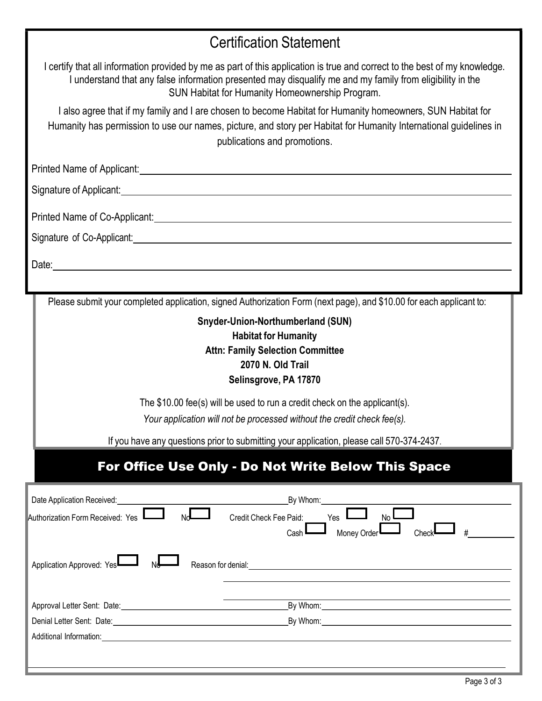# Certification Statement

| I certify that all information provided by me as part of this application is true and correct to the best of my knowledge.<br>I understand that any false information presented may disqualify me and my family from eligibility in the<br>SUN Habitat for Humanity Homeownership Program.<br>I also agree that if my family and I are chosen to become Habitat for Humanity homeowners, SUN Habitat for<br>Humanity has permission to use our names, picture, and story per Habitat for Humanity International guidelines in<br>publications and promotions. |
|---------------------------------------------------------------------------------------------------------------------------------------------------------------------------------------------------------------------------------------------------------------------------------------------------------------------------------------------------------------------------------------------------------------------------------------------------------------------------------------------------------------------------------------------------------------|
| Printed Name of Applicant: <u>contract and a series of the series of the series of the series of the series of the series of the series of the series of the series of the series of the series of the series of the series of t</u>                                                                                                                                                                                                                                                                                                                          |
|                                                                                                                                                                                                                                                                                                                                                                                                                                                                                                                                                               |
|                                                                                                                                                                                                                                                                                                                                                                                                                                                                                                                                                               |
| Signature of Co-Applicant: <u>contract and contract and contract and contract and contract and contract and contract and contract and contract and contract and contract and contract and contract and contract and contract and</u>                                                                                                                                                                                                                                                                                                                          |
| Date: <u>Contract Communication</u> Contract Communication Communication Communication Communication Communication                                                                                                                                                                                                                                                                                                                                                                                                                                            |
|                                                                                                                                                                                                                                                                                                                                                                                                                                                                                                                                                               |
| Please submit your completed application, signed Authorization Form (next page), and \$10.00 for each applicant to:                                                                                                                                                                                                                                                                                                                                                                                                                                           |
| Snyder-Union-Northumberland (SUN)<br><b>Habitat for Humanity</b><br><b>Attn: Family Selection Committee</b><br>2070 N. Old Trail<br>Selinsgrove, PA 17870                                                                                                                                                                                                                                                                                                                                                                                                     |
| The \$10.00 fee(s) will be used to run a credit check on the applicant(s).<br>Your application will not be processed without the credit check fee(s).                                                                                                                                                                                                                                                                                                                                                                                                         |
| If you have any questions prior to submitting your application, please call 570-374-2437.                                                                                                                                                                                                                                                                                                                                                                                                                                                                     |
| For Office Use Only - Do Not Write Below This Space                                                                                                                                                                                                                                                                                                                                                                                                                                                                                                           |
| By Whom:<br>Date Application Received:<br>Authorization Form Received: Yes<br>Credit Check Fee Paid: Yes<br>N <sub>0</sub><br>$\Box$ Money Order<br>Check<br>Cash                                                                                                                                                                                                                                                                                                                                                                                             |
| Application Approved: Yes<br>Reason for denial: <u>contract and contract and contract and contract and contract and contract and contract and contract and contract and contract and contract and contract and contract and contract and contract and contrac</u><br>NG                                                                                                                                                                                                                                                                                       |
| Approval Letter Sent: Date: 1988 Contract of the By Whom: 1988 Whom: 1988 Whom: 1988 Moon: 1988 Moon: 1988 Moon                                                                                                                                                                                                                                                                                                                                                                                                                                               |
|                                                                                                                                                                                                                                                                                                                                                                                                                                                                                                                                                               |
| Additional Information: example and a series of the series of the series of the series of the series of the series of the series of the series of the series of the series of the series of the series of the series of the se                                                                                                                                                                                                                                                                                                                                |
|                                                                                                                                                                                                                                                                                                                                                                                                                                                                                                                                                               |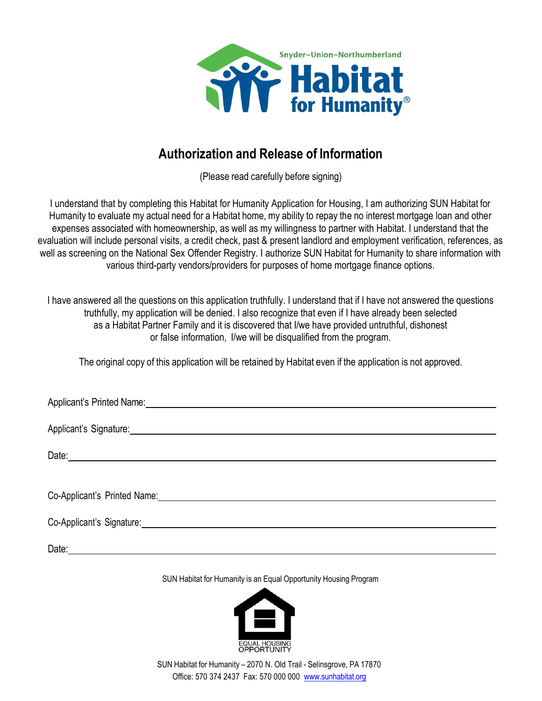

## Authorization and Release of Information

(Please read carefully before signing)

I understand that by completing this Habitat for Humanity Application for Housing, I am authorizing SUN Habitat for Humanity to evaluate my actual need for a Habitat home, my ability to repay the no interest mortgage loan and other expenses associated with homeownership, as well as my willingness to partner with Habitat. I understand that the evaluation will include personal visits, a credit check, past & present landlord and employment verification, references, as well as screening on the National Sex Offender Registry. I authorize SUN Habitat for Humanity to share information with various third-party vendors/providers for purposes of home mortgage finance options.

I have answered all the questions on this application truthfully. I understand that if I have not answered the questions truthfully, my application will be denied. I also recognize that even if I have already been selected as a Habitat Partner Family and it is discovered that I/we have provided untruthful, dishonest or false information, I/we will be disqualified from the program.

The original copy of this application will be retained by Habitat even if the application is not approved.

Date:

SUN Habitat for Humanity is an Equal Opportunity Housing Program



SUN Habitat for Humanity – 2070 N. Old Trail - Selinsgrove, PA 17870 Office: 570 374 2437 Fax: 570 000 000 www.sunhabitat.org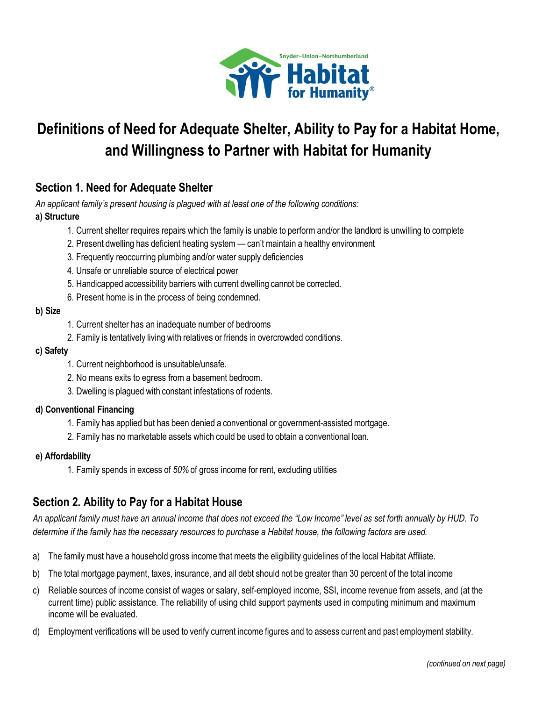

# Definitions of Need for Adequate Shelter, Ability to Pay for a Habitat Home, and Willingness to Partner with Habitat for Humanity

### Section 1. Need for Adequate Shelter

An applicant family's present housing is plagued with at least one of the following conditions:

### a) Structure

- 1. Current shelter requires repairs which the family is unable to perform and/or the landlord is unwilling to complete
- 2. Present dwelling has deficient heating system can't maintain a healthy environment
- 3. Frequently reoccurring plumbing and/or water supply deficiencies
- 4. Unsafe or unreliable source of electrical power
- 5. Handicapped accessibility barriers with current dwelling cannot be corrected.
- 6. Present home is in the process of being condemned.

### b) Size

- 1. Current shelter has an inadequate number of bedrooms
- 2. Family is tentatively living with relatives or friends in overcrowded conditions.

### c) Safety

- 1. Current neighborhood is unsuitable/unsafe.
- 2. No means exits to egress from a basement bedroom.
- 3. Dwelling is plagued with constant infestations of rodents.

### d) Conventional Financing

- 1. Family has applied but has been denied a conventional or government-assisted mortgage.
- 2. Family has no marketable assets which could be used to obtain a conventional loan.

### e) Affordability

1. Family spends in excess of 50% of gross income for rent, excluding utilities

### Section 2. Ability to Pay for a Habitat House

An applicant family must have an annual income that does not exceed the "Low Income" level as set forth annually by HUD. To determine if the family has the necessary resources to purchase a Habitat house, the following factors are used.

- a) The family must have a household gross income that meets the eligibility guidelines of the local Habitat Affiliate.
- b) The total mortgage payment, taxes, insurance, and all debt should not be greater than 30 percent of the total income
- c) Reliable sources of income consist of wages or salary, self-employed income, SSI, income revenue from assets, and (at the current time) public assistance. The reliability of using child support payments used in computing minimum and maximum income will be evaluated.
- d) Employment verifications will be used to verify current income figures and to assess current and past employment stability.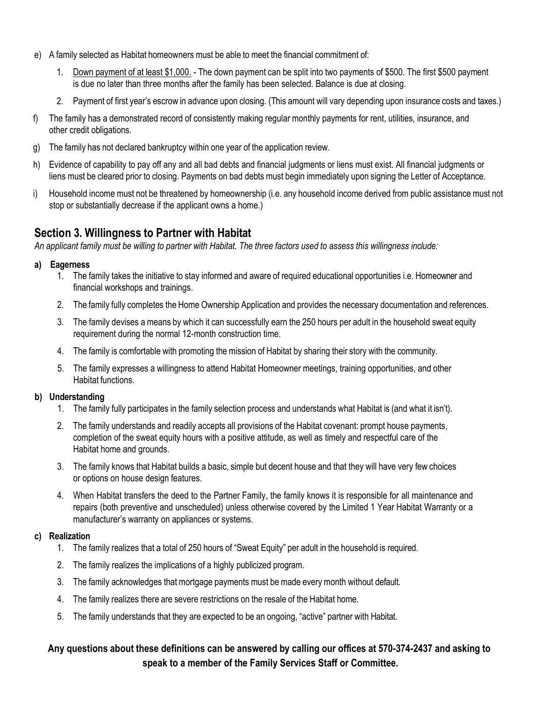- e) A family selected as Habitat homeowners must be able to meet the financial commitment of:
	- 1. Down payment of at least \$1,000. The down payment can be split into two payments of \$500. The first \$500 payment is due no later than three months after the family has been selected. Balance is due at closing.
	- 2. Payment of first year's escrow in advance upon closing. (This amount will vary depending upon insurance costs and taxes.)
- f) The family has a demonstrated record of consistently making regular monthly payments for rent, utilities, insurance, and other credit obligations.
- g) The family has not declared bankruptcy within one year of the application review.
- h) Evidence of capability to pay off any and all bad debts and financial judgments or liens must exist. All financial judgments or liens must be cleared prior to closing. Payments on bad debts must begin immediately upon signing the Letter of Acceptance.
- i) Household income must not be threatened by homeownership (i.e. any household income derived from public assistance must not stop or substantially decrease if the applicant owns a home.)

### Section 3. Willingness to Partner with Habitat

An applicant family must be willing to partner with Habitat. The three factors used to assess this willingness include:

### a) Eagerness

- 1. The family takes the initiative to stay informed and aware of required educational opportunities i.e. Homeowner and financial workshops and trainings.
- 2. The family fully completes the Home Ownership Application and provides the necessary documentation and references.
- 3. The family devises a means by which it can successfully earn the 250 hours per adult in the household sweat equity requirement during the normal 12-month construction time.
- 4. The family is comfortable with promoting the mission of Habitat by sharing their story with the community.
- 5. The family expresses a willingness to attend Habitat Homeowner meetings, training opportunities, and other Habitat functions.

### b) Understanding

- 1. The family fully participates in the family selection process and understands what Habitat is (and what it isn't).
- 2. The family understands and readily accepts all provisions of the Habitat covenant: prompt house payments, completion of the sweat equity hours with a positive attitude, as well as timely and respectful care of the Habitat home and grounds.
- 3. The family knows that Habitat builds a basic, simple but decent house and that they will have very few choices or options on house design features.
- 4. When Habitat transfers the deed to the Partner Family, the family knows it is responsible for all maintenance and repairs (both preventive and unscheduled) unless otherwise covered by the Limited 1 Year Habitat Warranty or a manufacturer's warranty on appliances or systems.

### c) Realization

- 1. The family realizes that a total of 250 hours of "Sweat Equity" per adult in the household is required.
- 2. The family realizes the implications of a highly publicized program.
- 3. The family acknowledges that mortgage payments must be made every month without default.
- 4. The family realizes there are severe restrictions on the resale of the Habitat home.
- 5. The family understands that they are expected to be an ongoing, "active" partner with Habitat.

### Any questions about these definitions can be answered by calling our offices at 570-374-2437 and asking to speak to a member of the Family Services Staff or Committee.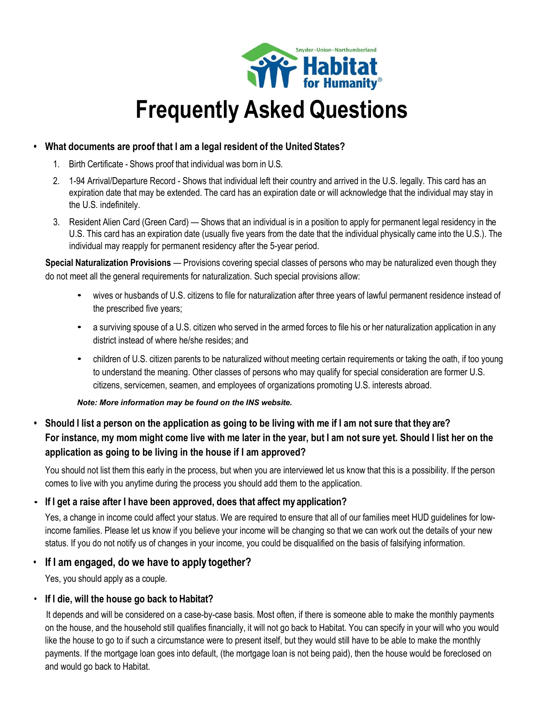

# Frequently Asked Questions

### • What documents are proof that I am a legal resident of the United States?

- 1. Birth Certificate Shows proof that individual was born in U.S.
- 2. 1-94 Arrival/Departure Record Shows that individual left their country and arrived in the U.S. legally. This card has an expiration date that may be extended. The card has an expiration date or will acknowledge that the individual may stay in the U.S. indefinitely.
- 3. Resident Alien Card (Green Card) Shows that an individual is in a position to apply for permanent legal residency in the U.S. This card has an expiration date (usually five years from the date that the individual physically came into the U.S.). The individual may reapply for permanent residency after the 5-year period.

Special Naturalization Provisions - Provisions covering special classes of persons who may be naturalized even though they do not meet all the general requirements for naturalization. Such special provisions allow:

- wives or husbands of U.S. citizens to file for naturalization after three years of lawful permanent residence instead of the prescribed five years;
- a surviving spouse of a U.S. citizen who served in the armed forces to file his or her naturalization application in any district instead of where he/she resides; and
- children of U.S. citizen parents to be naturalized without meeting certain requirements or taking the oath, if too young to understand the meaning. Other classes of persons who may qualify for special consideration are former U.S. citizens, servicemen, seamen, and employees of organizations promoting U.S. interests abroad.

### Note: More information may be found on the INS website.

• Should I list a person on the application as going to be living with me if I am not sure that they are? For instance, my mom might come live with me later in the year, but I am not sure yet. Should I list her on the application as going to be living in the house if I am approved?

You should not list them this early in the process, but when you are interviewed let us know that this is a possibility. If the person comes to live with you anytime during the process you should add them to the application.

### • If I get a raise after I have been approved, does that affect my application?

Yes, a change in income could affect your status. We are required to ensure that all of our families meet HUD guidelines for lowincome families. Please let us know if you believe your income will be changing so that we can work out the details of your new status. If you do not notify us of changes in your income, you could be disqualified on the basis of falsifying information.

### • If I am engaged, do we have to apply together?

Yes, you should apply as a couple.

### • If I die, will the house go back to Habitat?

It depends and will be considered on a case-by-case basis. Most often, if there is someone able to make the monthly payments on the house, and the household still qualifies financially, it will not go back to Habitat. You can specify in your will who you would like the house to go to if such a circumstance were to present itself, but they would still have to be able to make the monthly payments. If the mortgage loan goes into default, (the mortgage loan is not being paid), then the house would be foreclosed on and would go back to Habitat.